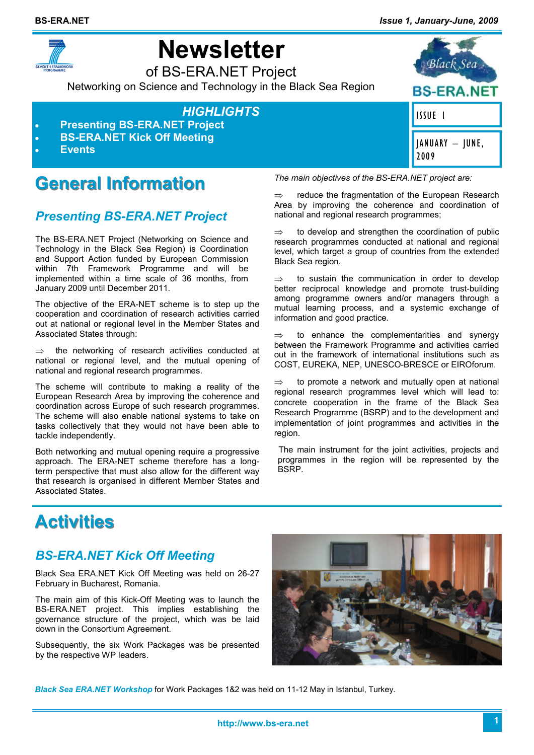

# **Newsletter**

of BS-ERA.NET Project Networking on Science and Technology in the Black Sea Region

### *HIGHLIGHTS*

- **Presenting BS-ERA.NET Project**
- **BS-ERA.NET Kick Off Meeting**
- **Events**

## **General Information**

### *Presenting BS-ERA.NET Project*

The BS-ERA.NET Project (Networking on Science and Technology in the Black Sea Region) is Coordination and Support Action funded by European Commission within 7th Framework Programme and will be implemented within a time scale of 36 months, from January 2009 until December 2011.

The objective of the ERA-NET scheme is to step up the cooperation and coordination of research activities carried out at national or regional level in the Member States and Associated States through:

the networking of research activities conducted at national or regional level, and the mutual opening of national and regional research programmes.

The scheme will contribute to making a reality of the European Research Area by improving the coherence and coordination across Europe of such research programmes. The scheme will also enable national systems to take on tasks collectively that they would not have been able to tackle independently.

Both networking and mutual opening require a progressive approach. The ERA-NET scheme therefore has a longterm perspective that must also allow for the different way that research is organised in different Member States and Associated States.

*The main objectives of the BS-ERA.NET project are:* 

 $\Rightarrow$  reduce the fragmentation of the European Research Area by improving the coherence and coordination of national and regional research programmes;

 $\Rightarrow$  to develop and strengthen the coordination of public research programmes conducted at national and regional level, which target a group of countries from the extended Black Sea region.

 $\Rightarrow$  to sustain the communication in order to develop better reciprocal knowledge and promote trust-building among programme owners and/or managers through a mutual learning process, and a systemic exchange of information and good practice.

 $\Rightarrow$  to enhance the complementarities and synergy between the Framework Programme and activities carried out in the framework of international institutions such as COST, EUREKA, NEP, UNESCO-BRESCE or EIROforum.

to promote a network and mutually open at national regional research programmes level which will lead to: concrete cooperation in the frame of the Black Sea Research Programme (BSRP) and to the development and implementation of joint programmes and activities in the region.

The main instrument for the joint activities, projects and programmes in the region will be represented by the BSRP.

## **Activities**

### *BS-ERA.NET Kick Off Meeting*

Black Sea ERA.NET Kick Off Meeting was held on 26-27 February in Bucharest, Romania.

The main aim of this Kick-Off Meeting was to launch the BS-ERA.NET project. This implies establishing the governance structure of the project, which was be laid down in the Consortium Agreement.

Subsequently, the six Work Packages was be presented by the respective WP leaders.



*Black Sea ERA.NET Workshop* for Work Packages 1&2 was held on 11-12 May in Istanbul, Turkey.

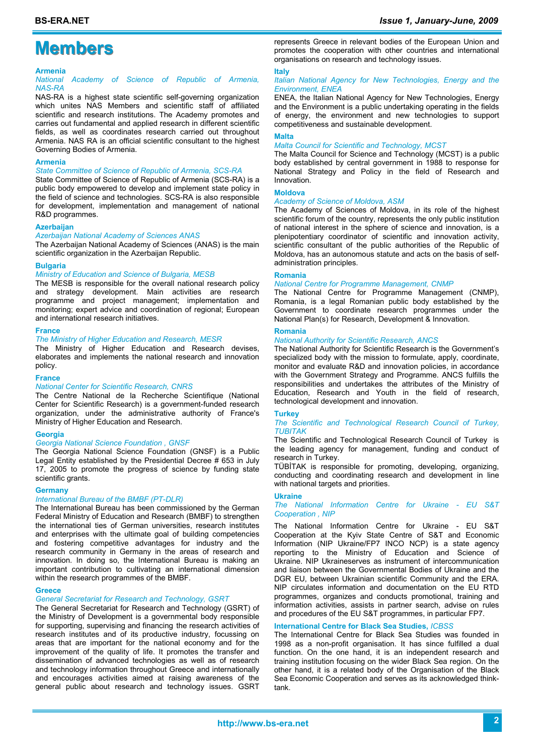## **Members**

#### **Armenia**

*National Academy of Science of Republic of Armenia, NAS-RA* 

NAS-RA is a highest state scientific self-governing organization which unites NAS Members and scientific staff of affiliated scientific and research institutions. The Academy promotes and carries out fundamental and applied research in different scientific fields, as well as coordinates research carried out throughout Armenia. NAS RA is an official scientific consultant to the highest Governing Bodies of Armenia.

#### **Armenia**

*State Committee of Science of Republic of Armenia, SCS-RA* 

State Committee of Science of Republic of Armenia (SCS-RA) is a public body empowered to develop and implement state policy in the field of science and technologies. SCS-RA is also responsible for development, implementation and management of national R&D programmes.

#### **Azerbaijan**

*Azerbaijan National Academy of Sciences ANAS* 

The Azerbaijan National Academy of Sciences (ANAS) is the main scientific organization in the Azerbaijan Republic.

#### **Bulgaria**

#### *Ministry of Education and Science of Bulgaria, MESB*

The MESB is responsible for the overall national research policy and strategy development. Main activities are research programme and project management; implementation and monitoring; expert advice and coordination of regional; European and international research initiatives.

#### **France**

#### *The Ministry of Higher Education and Research, MESR*

The Ministry of Higher Education and Research devises, elaborates and implements the national research and innovation policy.

#### **France**

#### *National Center for Scientific Research, CNRS*

The Centre National de la Recherche Scientifique (National Center for Scientific Research) is a government-funded research organization, under the administrative authority of France's Ministry of Higher Education and Research.

#### **Georgia**

#### *Georgia National Science Foundation , GNSF*

The Georgia National Science Foundation (GNSF) is a Public Legal Entity established by the Presidential Decree # 653 in July 17, 2005 to promote the progress of science by funding state scientific grants.

#### **Germany**

#### *International Bureau of the BMBF (PT-DLR)*

The International Bureau has been commissioned by the German Federal Ministry of Education and Research (BMBF) to strengthen the international ties of German universities, research institutes and enterprises with the ultimate goal of building competencies and fostering competitive advantages for industry and the research community in Germany in the areas of research and innovation. In doing so, the International Bureau is making an important contribution to cultivating an international dimension within the research programmes of the BMBF.

#### **Greece**

#### *General Secretariat for Research and Technology, GSRT*

The General Secretariat for Research and Technology (GSRT) of the Ministry of Development is a governmental body responsible for supporting, supervising and financing the research activities of research institutes and of its productive industry, focussing on areas that are important for the national economy and for the improvement of the quality of life. It promotes the transfer and dissemination of advanced technologies as well as of research and technology information throughout Greece and internationally and encourages activities aimed at raising awareness of the general public about research and technology issues. GSRT

represents Greece in relevant bodies of the European Union and promotes the cooperation with other countries and international organisations on research and technology issues.

#### **Italy**

#### *Italian National Agency for New Technologies, Energy and the Environment, ENEA*

ENEA, the Italian National Agency for New Technologies, Energy and the Environment is a public undertaking operating in the fields of energy, the environment and new technologies to support competitiveness and sustainable development.

#### **Malta**

#### *Malta Council for Scientific and Technology, MCST*

The Malta Council for Science and Technology (MCST) is a public body established by central government in 1988 to response for National Strategy and Policy in the field of Research and Innovation.

#### **Moldova**

#### *Academy of Science of Moldova, ASM*

The Academy of Sciences of Moldova, in its role of the highest scientific forum of the country, represents the only public institution of national interest in the sphere of science and innovation, is a plenipotentiary coordinator of scientific and innovation activity, scientific consultant of the public authorities of the Republic of Moldova, has an autonomous statute and acts on the basis of selfadministration principles.

#### **Romania**

#### *National Centre for Programme Management, CNMP*

The National Centre for Programme Management (CNMP), Romania, is a legal Romanian public body established by the Government to coordinate research programmes under the National Plan(s) for Research, Development & Innovation.

#### **Romania**

#### *National Authority for Scientific Research, ANCS*

The National Authority for Scientific Research is the Government's specialized body with the mission to formulate, apply, coordinate, monitor and evaluate R&D and innovation policies, in accordance with the Government Strategy and Programme. ANCS fulfills the responsibilities and undertakes the attributes of the Ministry of Education, Research and Youth in the field of research, technological development and innovation.

#### **Turkey**

#### *The Scientific and Technological Research Council of Turkey, TUBITAK*

The Scientific and Technological Research Council of Turkey is the leading agency for management, funding and conduct of research in Turkey.

TÜBİTAK is responsible for promoting, developing, organizing, conducting and coordinating research and development in line with national targets and priorities.

#### **Ukraine**

*The National Information Centre for Ukraine - EU S&T Cooperation , NIP* 

The National Information Centre for Ukraine - EU S&T Cooperation at the Kyiv State Centre of S&T and Economic Information (NIP Ukraine/FP7 INCO NCP) is a state agency reporting to the Ministry of Education and Science of Ukraine. NIP Ukraineserves as instrument of intercommunication and liaison between the Governmental Bodies of Ukraine and the DGR EU, between Ukrainian scientific Community and the ERA. NIP circulates information and documentation on the EU RTD programmes, organizes and conducts promotional, training and information activities, assists in partner search, advise on rules and procedures of the EU S&T programmes, in particular FP7.

#### **International Centre for Black Sea Studies,** *ICBSS*

The International Centre for Black Sea Studies was founded in 1998 as a non-profit organisation. It has since fulfilled a dual function. On the one hand, it is an independent research and training institution focusing on the wider Black Sea region. On the other hand, it is a related body of the Organisation of the Black Sea Economic Cooperation and serves as its acknowledged thinktank.